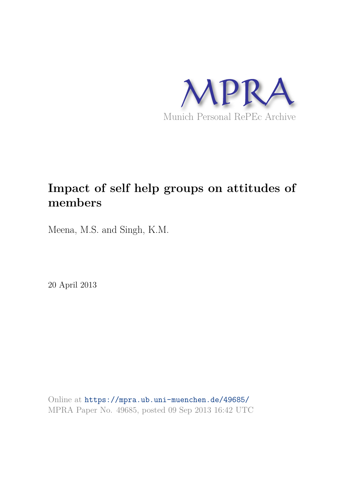

# **Impact of self help groups on attitudes of members**

Meena, M.S. and Singh, K.M.

20 April 2013

Online at https://mpra.ub.uni-muenchen.de/49685/ MPRA Paper No. 49685, posted 09 Sep 2013 16:42 UTC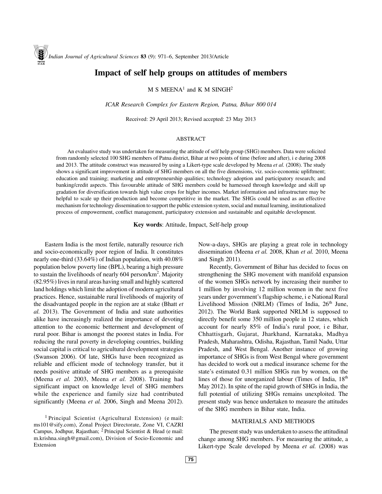# **Impact of self help groups on attitudes of members**

 $M S$  MEENA<sup>1</sup> and K M SINGH<sup>2</sup>

*ICAR Research Complex for Eastern Region, Patna, Bihar 800 014*

Received: 29 April 2013; Revised accepted: 23 May 2013

#### ABSTRACT

An evaluative study was undertaken for measuring the attitude of self help group (SHG) members. Data were solicited from randomly selected 100 SHG members of Patna district, Bihar at two points of time (before and after), i e during 2008 and 2013. The attitude construct was measured by using a Likert-type scale developed by Meena *et al.* (2008). The study shows a significant improvement in attitude of SHG members on all the five dimensions, viz. socio-economic upliftment; education and training; marketing and entrepreneurship qualities; technology adoption and participatory research; and banking/credit aspects. This favourable attitude of SHG members could be harnessed through knowledge and skill up gradation for diversification towards high value crops for higher incomes. Market information and infrastructure may be helpful to scale up their production and become competitive in the market. The SHGs could be used as an effective mechanism for technology dissemination to support the public extension system, social and mutual learning, institutionalized process of empowerment, conflict management, participatory extension and sustainable and equitable development.

**Key words**: Attitude, Impact, Self-help group

Eastern India is the most fertile, naturally resource rich and socio-economically poor region of India. It constitutes nearly one-third (33.64%) of Indian population, with 40.08% population below poverty line (BPL), bearing a high pressure to sustain the livelihoods of nearly 604 person/km<sup>2</sup>. Majority (82.95%) lives in rural areas having small and highly scattered land holdings which limit the adoption of modern agricultural practices. Hence, sustainable rural livelihoods of majority of the disadvantaged people in the region are at stake (Bhatt *et al.* 2013). The Government of India and state authorities alike have increasingly realized the importance of devoting attention to the economic betterment and development of rural poor. Bihar is amongst the poorest states in India. For reducing the rural poverty in developing countries, building social capital is critical to agricultural development strategies (Swanson 2006). Of late, SHGs have been recognized as reliable and efficient mode of technology transfer, but it needs positive attitude of SHG members as a prerequisite (Meena *et al.* 2003, Meena *et al.* 2008). Training had significant impact on knowledge level of SHG members while the experience and family size had contributed significantly (Meena *et al.* 2006, Singh and Meena 2012).

<sup>1</sup> Principal Scientist (Agricultural Extension) (e mail: ms101@sify.com), Zonal Project Directorate, Zone VI, CAZRI Campus, Jodhpur, Rajasthan; <sup>2</sup> Principal Scientist & Head (e mail: m.krishna.singh@gmail.com), Division of Socio-Economic and Extension

Now-a-days, SHGs are playing a great role in technology dissemination (Meena *et al.* 2008, Khan *et al.* 2010, Meena and Singh 2011).

Recently, Government of Bihar has decided to focus on strengthening the SHG movement with manifold expansion of the women SHGs network by increasing their number to 1 million by involving 12 million women in the next five years under government's flagship scheme, i e National Rural Livelihood Mission (NRLM) (Times of India,  $26<sup>th</sup>$  June, 2012). The World Bank supported NRLM is supposed to directly benefit some 350 million people in 12 states, which account for nearly 85% of India's rural poor, i e Bihar, Chhattisgarh, Gujarat, Jharkhand, Karnataka, Madhya Pradesh, Maharashtra, Odisha, Rajasthan, Tamil Nadu, Uttar Pradesh, and West Bengal. Another instance of growing importance of SHGs is from West Bengal where government has decided to work out a medical insurance scheme for the state's estimated 0.31 million SHGs run by women, on the lines of those for unorganized labour (Times of India, 18th May 2012). In spite of the rapid growth of SHGs in India, the full potential of utilizing SHGs remains unexploited. The present study was hence undertaken to measure the attitudes of the SHG members in Bihar state, India.

#### MATERIALS AND METHODS

The present study was undertaken to assess the attitudinal change among SHG members. For measuring the attitude, a Likert-type Scale developed by Meena *et al.* (2008) was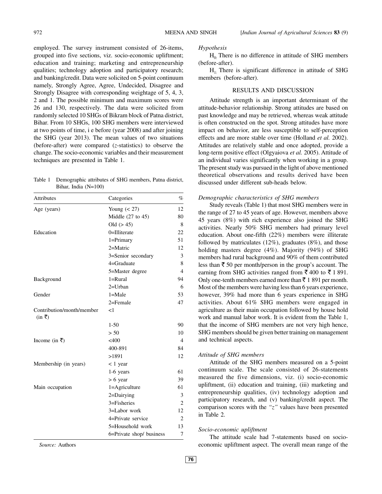employed. The survey instrument consisted of 26-items, grouped into five sections, viz. socio-economic upliftment; education and training; marketing and entrepreneurship qualities; technology adoption and participatory research; and banking/credit. Data were solicited on 5-point continuum namely, Strongly Agree, Agree, Undecided, Disagree and Strongly Disagree with corresponding weightage of 5, 4, 3, 2 and 1. The possible minimum and maximum scores were 26 and 130, respectively. The data were solicited from randomly selected 10 SHGs of Bikram block of Patna district, Bihar. From 10 SHGs, 100 SHG members were interviewed at two points of time, i e before (year 2008) and after joining the SHG (year 2013). The mean values of two situations (before-after) were compared (*z*-statistics) to observe the change. The socio-economic variables and their measurement techniques are presented in Table 1.

Table 1 Demographic attributes of SHG members, Patna district, Bihar, India (N=100)

| <b>Attributes</b>                                          | Categories               | $\%$           |
|------------------------------------------------------------|--------------------------|----------------|
| Age (years)                                                | Young $(< 27)$           | 12             |
|                                                            | Middle $(27$ to $45)$    | 80             |
|                                                            | Old $(> 45)$             | 8              |
| Education                                                  | 0=Illiterate             | 22             |
|                                                            | 1=Primary                | 51             |
|                                                            | $2=$ Matric              | 12             |
|                                                            | 3=Senior secondary       | 3              |
|                                                            | 4=Graduate               | 8              |
|                                                            | 5=Master degree          | $\overline{4}$ |
| Background                                                 | $1 = Rural$              | 94             |
|                                                            | $2=U$ rban               | 6              |
| Gender                                                     | $1 = Male$               | 53             |
|                                                            | $2 =$ Female             | 47             |
| Contribution/month/member<br>$(in \space \overline{\tau})$ | $\leq$ 1                 |                |
|                                                            | $1-50$                   | 90             |
|                                                            | > 50                     | 10             |
| Income (in ₹)                                              | $<$ 400                  | $\overline{4}$ |
|                                                            | 400-891                  | 84             |
|                                                            | >1891                    | 12             |
| Membership (in years)                                      | < 1 year                 |                |
|                                                            | 1-6 years                | 61             |
|                                                            | $> 6$ year               | 39             |
| Main occupation                                            | 1=Agriculture            | 61             |
|                                                            | 2=Dairying               | 3              |
|                                                            | $3 =$ Fisheries          | 2              |
|                                                            | 3=Labor work             | 12             |
|                                                            | 4=Private service        | $\overline{c}$ |
|                                                            | 5=Household work         | 13             |
|                                                            | 6=Private shop/ business | 7              |

*Source:* Authors

#### *Hypothesis*

 $H<sub>0</sub>$ . There is no difference in attitude of SHG members (before-after).

 $H<sub>1</sub>$ . There is significant difference in attitude of SHG members (before-after).

#### RESULTS AND DISCUSSION

Attitude strength is an important determinant of the attitude-behavior relationship. Strong attitudes are based on past knowledge and may be retrieved, whereas weak attitude is often constructed on the spot. Strong attitudes have more impact on behavior, are less susceptible to self-perception effects and are more stable over time (Holland *et al.* 2002). Attitudes are relatively stable and once adopted, provide a long-term positive effect (Olgyaiova *et al.* 2005). Attitude of an individual varies significantly when working in a group. The present study was pursued in the light of above mentioned theoretical observations and results derived have been discussed under different sub-heads below.

#### *Demographic characteristics of SHG members*

Study reveals (Table 1) that most SHG members were in the range of 27 to 45 years of age. However, members above 45 years (8%) with rich experience also joined the SHG activities. Nearly 50% SHG members had primary level education. About one-fifth (22%) members were illiterate followed by matriculates  $(12\%)$ , graduates  $(8\%)$ , and those holding masters degree (4%). Majority (94%) of SHG members had rural background and 90% of them contributed less than  $\bar{z}$  50 per month/person in the group's account. The earning from SHG activities ranged from  $\bar{\mathfrak{g}}$  400 to  $\bar{\mathfrak{g}}$  1 891. Only one-tenth members earned more than  $\bar{\tau}$  1 891 per month. Most of the members were having less than 6 years experience, however, 39% had more than 6 years experience in SHG activities. About 61% SHG members were engaged in agriculture as their main occupation followed by house hold work and manual labor work. It is evident from the Table 1, that the income of SHG members are not very high hence, SHG members should be given better training on management and technical aspects.

#### *Attitude of SHG members*

Attitude of the SHG members measured on a 5-point continuum scale. The scale consisted of 26-statements measured the five dimensions, viz. (i) socio-economic upliftment, (ii) education and training, (iii) marketing and entrepreneurship qualities, (iv) technology adoption and participatory research, and (v) banking/credit aspect. The comparison scores with the *"z"* values have been presented in Table 2.

#### *Socio-economic upliftment*

The attitude scale had 7-statements based on socioeconomic upliftment aspect. The overall mean range of the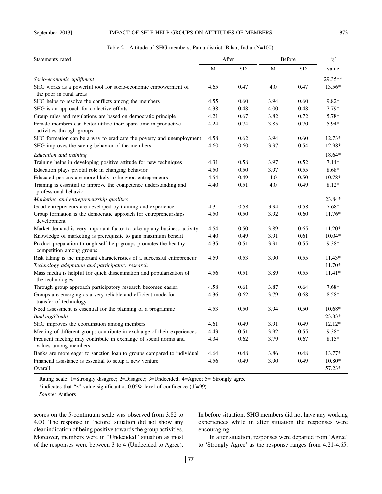# September 2013] **IMPACT OF SELF HELP GROUPS ON ATTITUDES OF MEMBERS** 973

|  |  |  | Table 2 Attitude of SHG members, Patna district, Bihar, India (N=100). |  |  |  |  |  |  |
|--|--|--|------------------------------------------------------------------------|--|--|--|--|--|--|
|--|--|--|------------------------------------------------------------------------|--|--|--|--|--|--|

| Statements rated                                                                              | After |           | Before |           | $'\mathcal{Z}'$  |  |
|-----------------------------------------------------------------------------------------------|-------|-----------|--------|-----------|------------------|--|
|                                                                                               | M     | <b>SD</b> | M      | <b>SD</b> | value            |  |
| Socio-economic upliftment                                                                     |       |           |        |           | 29.35**          |  |
| SHG works as a powerful tool for socio-economic empowerment of<br>the poor in rural areas     | 4.65  | 0.47      | 4.0    | 0.47      | $13.56*$         |  |
| SHG helps to resolve the conflicts among the members                                          | 4.55  | 0.60      | 3.94   | 0.60      | 9.82*            |  |
| SHG is an approach for collective efforts                                                     | 4.38  | 0.48      | 4.00   | 0.48      | $7.79*$          |  |
| Group rules and regulations are based on democratic principle                                 | 4.21  | 0.67      | 3.82   | 0.72      | $5.78*$          |  |
| Female members can better utilize their spare time in productive<br>activities through groups | 4.24  | 0.74      | 3.85   | 0.70      | 5.94*            |  |
| SHG formation can be a way to eradicate the poverty and unemployment                          | 4.58  | 0.62      | 3.94   | 0.60      | $12.73*$         |  |
| SHG improves the saving behavior of the members                                               | 4.60  | 0.60      | 3.97   | 0.54      | 12.98*           |  |
| Education and training                                                                        |       |           |        |           | 18.64*           |  |
| Training helps in developing positive attitude for new techniques                             | 4.31  | 0.58      | 3.97   | 0.52      | $7.14*$          |  |
| Education plays pivotal role in changing behavior                                             | 4.50  | 0.50      | 3.97   | 0.55      | $8.68*$          |  |
| Educated persons are more likely to be good entrepreneurs                                     | 4.54  | 0.49      | 4.0    | 0.50      | $10.78*$         |  |
| Training is essential to improve the competence understanding and<br>professional behavior    | 4.40  | 0.51      | 4.0    | 0.49      | $8.12*$          |  |
| Marketing and entrepreneurship qualities                                                      |       |           |        |           | 23.84*           |  |
| Good entrepreneurs are developed by training and experience                                   | 4.31  | 0.58      | 3.94   | 0.58      | $7.68*$          |  |
| Group formation is the democratic approach for entrepreneurships<br>development               | 4.50  | 0.50      | 3.92   | 0.60      | $11.76*$         |  |
| Market demand is very important factor to take up any business activity                       | 4.54  | 0.50      | 3.89   | 0.65      | $11.20*$         |  |
| Knowledge of marketing is prerequisite to gain maximum benefit                                | 4.40  | 0.49      | 3.91   | 0.61      | $10.04*$         |  |
| Product preparation through self help groups promotes the healthy<br>competition among groups | 4.35  | 0.51      | 3.91   | 0.55      | $9.38*$          |  |
| Risk taking is the important characteristics of a successful entrepreneur                     | 4.59  | 0.53      | 3.90   | 0.55      | $11.43*$         |  |
| Technology adoptation and participatory research                                              |       |           |        |           | $11.70*$         |  |
| Mass media is helpful for quick dissemination and popularization of<br>the technologies       | 4.56  | 0.51      | 3.89   | 0.55      | $11.41*$         |  |
| Through group approach participatory research becomes easier.                                 | 4.58  | 0.61      | 3.87   | 0.64      | $7.68*$          |  |
| Groups are emerging as a very reliable and efficient mode for<br>transfer of technology       | 4.36  | 0.62      | 3.79   | 0.68      | 8.58*            |  |
| Need assessment is essential for the planning of a programme.                                 | 4.53  | 0.50      | 3.94   | 0.50      | $10.68*$         |  |
| <b>Banking/Credit</b>                                                                         |       |           |        |           | 23.83*           |  |
| SHG improves the coordination among members                                                   | 4.61  | 0.49      | 3.91   | 0.49      | $12.12*$         |  |
| Meeting of different groups contribute in exchange of their experiences                       | 4.43  | 0.51      | 3.92   | 0.55      | $9.38*$          |  |
| Frequent meeting may contribute in exchange of social norms and<br>values among members       | 4.34  | 0.62      | 3.79   | 0.67      | $8.15*$          |  |
| Banks are more eager to sanction loan to groups compared to individual                        | 4.64  | 0.48      | 3.86   | 0.48      | $13.77*$         |  |
| Financial assistance is essential to setup a new venture<br>Overall                           | 4.56  | 0.49      | 3.90   | 0.49      | 10.80*<br>57.23* |  |

Rating scale: 1=Strongly disagree; 2=Disagree; 3=Undecided; 4=Agree; 5= Strongly agree

\*indicates that "z" value significant at 0.05% level of confidence (df=99).

*Source:* Authors

scores on the 5-continuum scale was observed from 3.82 to 4.00. The response in 'before' situation did not show any clear indication of being positive towards the group activities. Moreover, members were in "Undecided" situation as most of the responses were between 3 to 4 (Undecided to Agree).

In before situation, SHG members did not have any working experiences while in after situation the responses were encouraging.

In after situation, responses were departed from 'Agree' to 'Strongly Agree' as the response ranges from 4.21-4.65.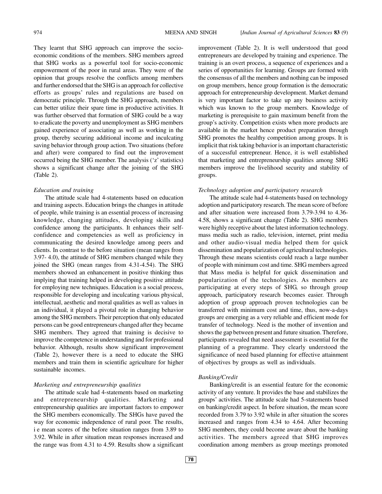They learnt that SHG approach can improve the socioeconomic conditions of the members. SHG members agreed that SHG works as a powerful tool for socio-economic empowerment of the poor in rural areas. They were of the opinion that groups resolve the conflicts among members and further endorsed that the SHG is an approach for collective efforts as groups' rules and regulations are based on democratic principle. Through the SHG approach, members can better utilize their spare time in productive activities. It was further observed that formation of SHG could be a way to eradicate the poverty and unemployment as SHG members gained experience of associating as well as working in the group, thereby securing additional income and inculcating saving behavior through group action. Two situations (before and after) were compared to find out the improvement occurred being the SHG member. The analysis ('z' statistics) shows a significant change after the joining of the SHG (Table 2).

# *Education and training*

The attitude scale had 4-statements based on education and training aspects. Education brings the changes in attitude of people, while training is an essential process of increasing knowledge, changing attitudes, developing skills and confidence among the participants. It enhances their selfconfidence and competencies as well as proficiency in communicating the desired knowledge among peers and clients. In contrast to the before situation (mean ranges from 3.97- 4.0), the attitude of SHG members changed while they joined the SHG (mean ranges from 4.31-4.54). The SHG members showed an enhancement in positive thinking thus implying that training helped in developing positive attitude for employing new techniques. Education is a social process, responsible for developing and inculcating various physical, intellectual, aesthetic and moral qualities as well as values in an individual, it played a pivotal role in changing behavior among the SHG members. Their perception that only educated persons can be good entrepreneurs changed after they became SHG members. They agreed that training is decisive to improve the competence in understanding and for professional behavior. Although, results show significant improvement (Table 2), however there is a need to educate the SHG members and train them in scientific agriculture for higher sustainable incomes.

# *Marketing and entrepreneurship qualities*

The attitude scale had 4-statements based on marketing and entrepreneurship qualities. Marketing and entrepreneurship qualities are important factors to empower the SHG members economically. The SHGs have paved the way for economic independence of rural poor. The results, i e mean scores of the before situation ranges from 3.89 to 3.92. While in after situation mean responses increased and the range was from 4.31 to 4.59. Results show a significant improvement (Table 2). It is well understood that good entrepreneurs are developed by training and experience. The training is an overt process, a sequence of experiences and a series of opportunities for learning. Groups are formed with the consensus of all the members and nothing can be imposed on group members, hence group formation is the democratic approach for entrepreneurship development. Market demand is very important factor to take up any business activity which was known to the group members. Knowledge of marketing is prerequisite to gain maximum benefit from the group's activity. Competition exists when more products are available in the market hence product preparation through SHG promotes the healthy competition among groups. It is implicit that risk taking behavior is an important characteristic of a successful entrepreneur. Hence, it is well established that marketing and entrepreneurship qualities among SHG members improve the livelihood security and stability of groups.

#### *Technology adoption and participatory research*

The attitude scale had 4-statements based on technology adoption and participatory research. The mean score of before and after situation were increased from 3.79-3.94 to 4.36- 4.58, shows a significant change (Table 2). SHG members were highly receptive about the latest information technology. mass media such as radio, television, internet, print media and other audio-visual media helped them for quick dissemination and popularization of agricultural technologies. Through these means scientists could reach a large number of people with minimum cost and time. SHG members agreed that Mass media is helpful for quick dissemination and popularization of the technologies. As members are participating at every steps of SHG, so through group approach, participatory research becomes easier. Through adoption of group approach proven technologies can be transferred with minimum cost and time, thus, now-a-days groups are emerging as a very reliable and efficient mode for transfer of technology. Need is the mother of invention and shows the gap between present and future situation. Therefore, participants revealed that need assessment is essential for the planning of a programme. They clearly understood the significance of need based planning for effective attainment of objectives by groups as well as individuals.

# *Banking/Credit*

Banking/credit is an essential feature for the economic activity of any venture. It provides the base and stabilizes the groups' activities. The attitude scale had 5-statements based on banking/credit aspect. In before situation, the mean score recorded from 3.79 to 3.92 while in after situation the scores increased and ranges from 4.34 to 4.64. After becoming SHG members, they could become aware about the banking activities. The members agreed that SHG improves coordination among members as group meetings promoted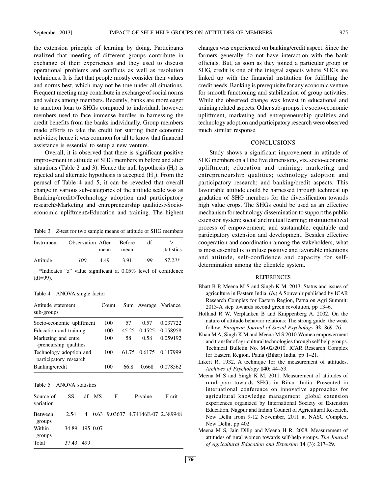the extension principle of learning by doing. Participants realized that meeting of different groups contribute in exchange of their experiences and they used to discuss operational problems and conflicts as well as resolution techniques. It is fact that people mostly consider their values and norms best, which may not be true under all situations. Frequent meeting may contribute in exchange of social norms and values among members. Recently, banks are more eager to sanction loan to SHGs compared to individual, however members used to face immense hurdles in harnessing the credit benefits from the banks individually. Group members made efforts to take the credit for starting their economic activities; hence it was common for all to know that financial assistance is essential to setup a new venture.

Overall, it is observed that there is significant positive improvement in attitude of SHG members in before and after situations (Table 2 and 3). Hence the null hypothesis  $(H_0)$  is rejected and alternate hypothesis is accepted  $(H_1)$ . From the perusal of Table 4 and 5, it can be revealed that overall change in various sub-categories of the attitude scale was as Banking/credit>Technology adoption and participatory research>Marketing and entrepreneurship qualities>Socioeconomic upliftment>Education and training. The highest

Table 3 *Z*-test for two sample means of attitude of SHG members

| Instrument | <b>Observation After</b> |      | <b>Before</b> | df | '7'        |
|------------|--------------------------|------|---------------|----|------------|
|            |                          | mean | mean          |    | statistics |
| Attitude   | 100                      | 4.49 | 3.91          | 99 | 57.23*     |

\*Indicates "z" value significant at 0.05% level of confidence (df=99).

Table 4 ANOVA single factor

| Attitude statement<br>sub-groups                  | Count |       |        | Sum Average Variance  |
|---------------------------------------------------|-------|-------|--------|-----------------------|
| Socio-economic upliftment                         | 100   | 57    | 0.57   | 0.037722              |
| Education and training                            | 100   | 45.25 | 0.4525 | 0.058958              |
| Marketing and entre<br>-preneurship qualities     | 100   | 58    | 0.58   | 0.059192              |
| Technology adoption and<br>participatory research | 100   |       |        | 61.75 0.6175 0.117999 |
| Banking/credit                                    | 100   | 66.8  | 0.668  | 0.078562              |

Table 5 ANOVA statistics

| Source of<br>variation | SS.            | df MS | F | P-value                             | F crit |
|------------------------|----------------|-------|---|-------------------------------------|--------|
| Between<br>groups      | 2.54           |       |   | 4 0.63 9.03637 4.74146E-07 2.389948 |        |
| Within<br>groups       | 34.89 495 0.07 |       |   |                                     |        |
| Total                  | 37.43 499      |       |   |                                     |        |

changes was experienced on banking/credit aspect. Since the farmers generally do not have interaction with the bank officials. But, as soon as they joined a particular group or SHG, credit is one of the integral aspects where SHGs are linked up with the financial institution for fulfilling the credit needs. Banking is prerequisite for any economic venture for smooth functioning and stabilization of group activities. While the observed change was lowest in educational and training related aspects. Other sub-groups, i e socio-economic upliftment, marketing and entrepreneurship qualities and technology adoption and participatory research were observed much similar response.

## **CONCLUSIONS**

Study shows a significant improvement in attitude of SHG members on all the five dimensions, viz. socio-economic upliftment; education and training; marketing and entrepreneurship qualities; technology adoption and participatory research; and banking/credit aspects. This favourable attitude could be harnessed through technical up gradation of SHG members for the diversification towards high value crops. The SHGs could be used as an effective mechanism for technology dissemination to support the public extension system; social and mutual learning; institutionalized process of empowerment; and sustainable, equitable and participatory extension and development. Besides effective cooperation and coordination among the stakeholders, what is most essential is to infuse positive and favorable intentions and attitude, self-confidence and capacity for selfdetermination among the clientele system.

#### **REFERENCES**

- Bhatt B P, Meena M S and Singh K M. 2013. Status and issues of agriculture in Eastern India. (*In*) A Souvenir published by ICAR Research Complex for Eastern Region, Patna on Agri Summit: 2013-A step towards second green revolution, pp 13–6.
- Holland R W, Verplanken B and Knippenberg A. 2002. On the nature of attitude behavior relations: The strong guide, the weak follow. *European Journal of Social Psychology* **32**: 869–76.
- Khan M A, Singh K M and Meena M S 2010.Women empowerment and transfer of agricultural technologies through self help groups. Technical Bulletin No. M-02/2010. ICAR Research Complex for Eastern Region, Patna (Bihar) India, pp 1–21.
- Likert R. 1932. A technique for the measurement of attitudes. *Archives of Psychology* **140**: 44–53.
- Meena M S and Singh K M. 2011. Measurement of attitudes of rural poor towards SHGs in Bihar, India. Presented in international conference on innovative approaches for agricultural knowledge management: global extension experiences organized by International Society of Extension Education, Nagpur and Indian Council of Agricultural Research, New Delhi from 9-12 November, 2011 at NASC Complex, New Delhi, pp 402.
- Meena M S, Jain Dilip and Meena H R. 2008. Measurement of attitudes of rural women towards self-help groups. *The Journal of Agricultural Education and Extension* **14** (3): 217–29.